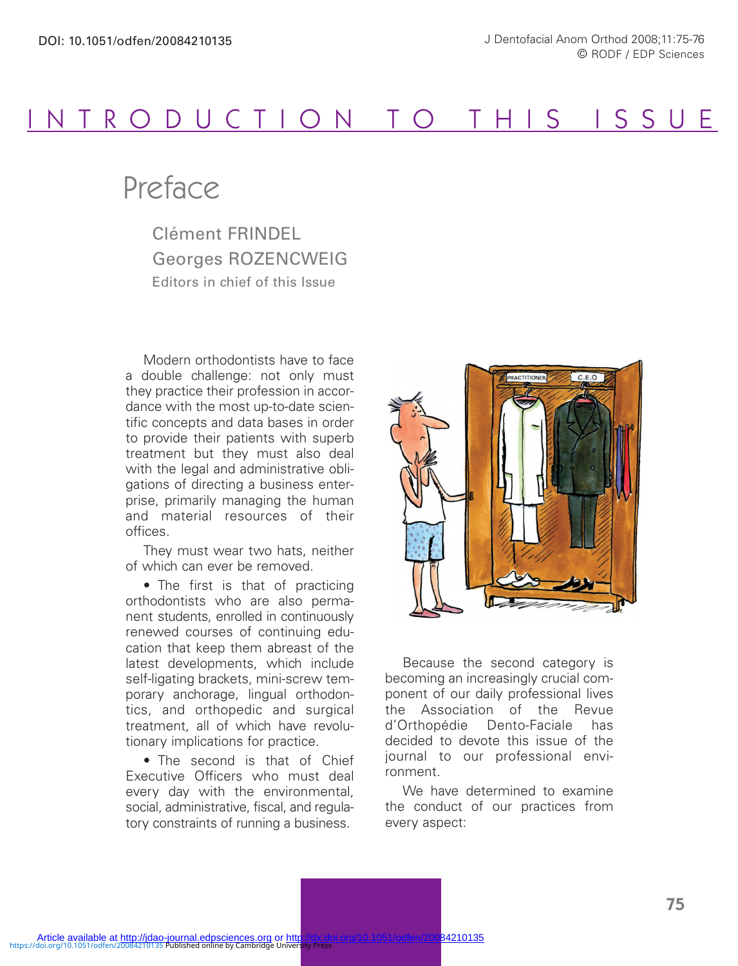

## Preface

Clément FRINDEL Georges ROZENCWEIG Editors in chief of this Issue

Modern orthodontists have to face a double challenge: not only must they practice their profession in accordance with the most up-to-date scientific concepts and data bases in order to provide their patients with superb treatment but they must also deal with the legal and administrative obligations of directing a business enterprise, primarily managing the human and material resources of their offices.

They must wear two hats, neither of which can ever be removed.

• The first is that of practicing orthodontists who are also permanent students, enrolled in continuously renewed courses of continuing education that keep them abreast of the latest developments, which include self-ligating brackets, mini-screw temporary anchorage, lingual orthodontics, and orthopedic and surgical treatment, all of which have revolutionary implications for practice.

• The second is that of Chief Executive Officers who must deal every day with the environmental, social, administrative, fiscal, and regulatory constraints of running a business.



Because the second category is becoming an increasingly crucial component of our daily professional lives the Association of the Revue d'Orthopédie Dento-Faciale has decided to devote this issue of the journal to our professional environment.

We have determined to examine the conduct of our practices from every aspect: